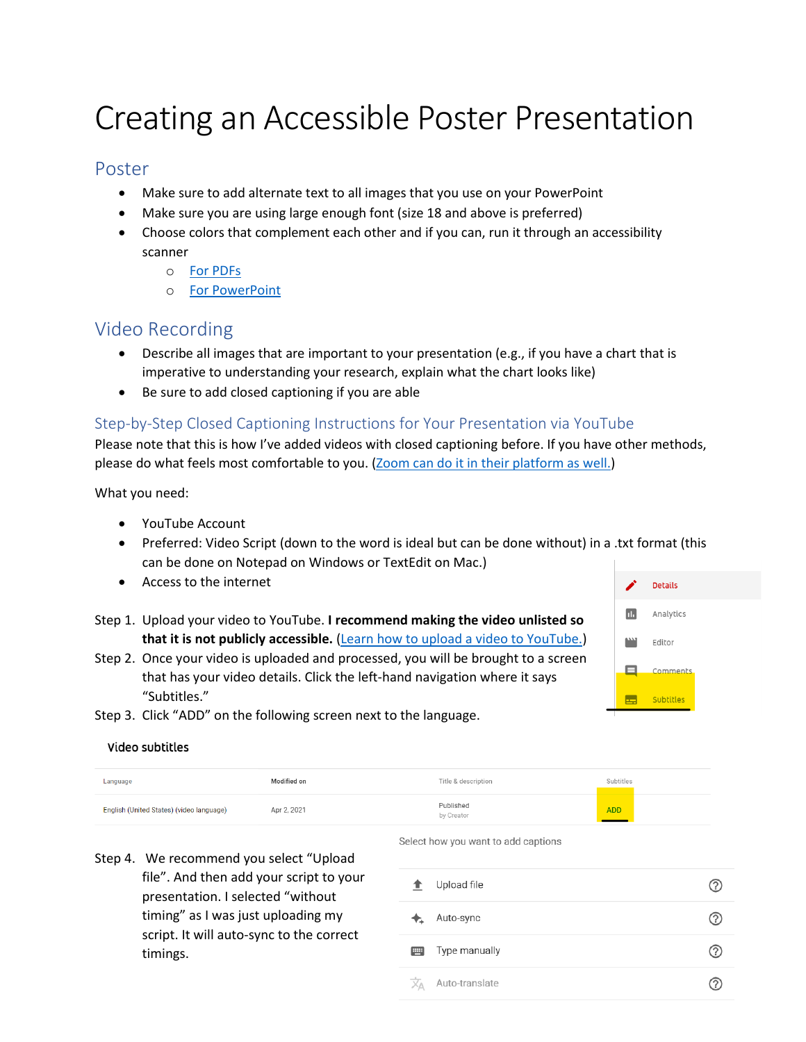# Creating an Accessible Poster Presentation

## Poster

- Make sure to add alternate text to all images that you use on your PowerPoint
- Make sure you are using large enough font (size 18 and above is preferred)
- Choose colors that complement each other and if you can, run it through an accessibility scanner
	- o [For PDFs](:%20https:/helpx.adobe.com/acrobat/using/create-verify-pdf-accessibility.html)
	- o [For PowerPoint](https://webaim.org/techniques/powerpoint/#:~:text=To%20run%20the%20accessibility%20checker,will%20appear%20to%20the%20right.)

## Video Recording

- Describe all images that are important to your presentation (e.g., if you have a chart that is imperative to understanding your research, explain what the chart looks like)
- Be sure to add closed captioning if you are able

#### Step-by-Step Closed Captioning Instructions for Your Presentation via YouTube

Please note that this is how I've added videos with closed captioning before. If you have other methods, please do what feels most comfortable to you. [\(Zoom can do it in their platform as well.\)](https://support.zoom.us/hc/en-us/articles/207279736-Closed-captioning-and-live-transcription)

What you need:

- YouTube Account
- Preferred: Video Script (down to the word is ideal but can be done without) in a .txt format (this can be done on Notepad on Windows or TextEdit on Mac.)
- Access to the internet
- Step 1. Upload your video to YouTube. **I recommend making the video unlisted so that it is not publicly accessible.** [\(Learn how to upload a video to YouTube.\)](https://support.google.com/youtube/answer/57407?co=GENIE.Platform%3DDesktop&hl=en)

Step 2. Once your video is uploaded and processed, you will be brought to a screen



- that has your video details. Click the left-hand navigation where it says "Subtitles."
- Step 3. Click "ADD" on the following screen next to the language.

#### Video subtitles

| Language                                 | Modified on | Title & description     | Subtitles |
|------------------------------------------|-------------|-------------------------|-----------|
| English (United States) (video language) | Apr 2, 2021 | Published<br>by Creator | ADD       |

Step 4. We recommend you select "Upload file". And then add your script to your presentation. I selected "without timing" as I was just uploading my script. It will auto-sync to the correct timings.

#### Select how you want to add captions

| Ŧ.               | Upload file    |  |
|------------------|----------------|--|
|                  | Auto-sync      |  |
| 罒                | Type manually  |  |
| $\overline{X_A}$ | Auto-translate |  |